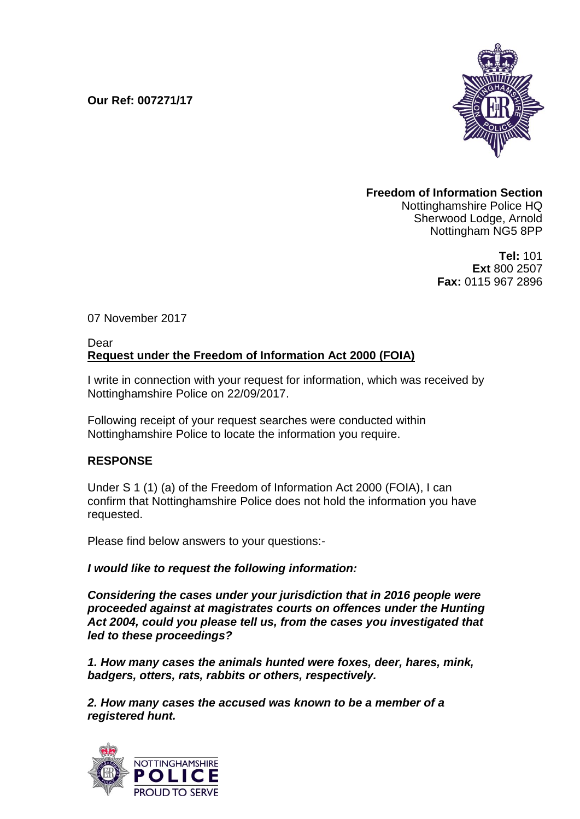**Our Ref: 007271/17**



### **Freedom of Information Section** Nottinghamshire Police HQ Sherwood Lodge, Arnold Nottingham NG5 8PP

**Tel:** 101 **Ext** 800 2507 **Fax:** 0115 967 2896

07 November 2017

### Dear **Request under the Freedom of Information Act 2000 (FOIA)**

I write in connection with your request for information, which was received by Nottinghamshire Police on 22/09/2017.

Following receipt of your request searches were conducted within Nottinghamshire Police to locate the information you require.

# **RESPONSE**

Under S 1 (1) (a) of the Freedom of Information Act 2000 (FOIA), I can confirm that Nottinghamshire Police does not hold the information you have requested.

Please find below answers to your questions:-

# *I would like to request the following information:*

*Considering the cases under your jurisdiction that in 2016 people were proceeded against at magistrates courts on offences under the Hunting Act 2004, could you please tell us, from the cases you investigated that led to these proceedings?*

*1. How many cases the animals hunted were foxes, deer, hares, mink, badgers, otters, rats, rabbits or others, respectively.*

*2. How many cases the accused was known to be a member of a registered hunt.*

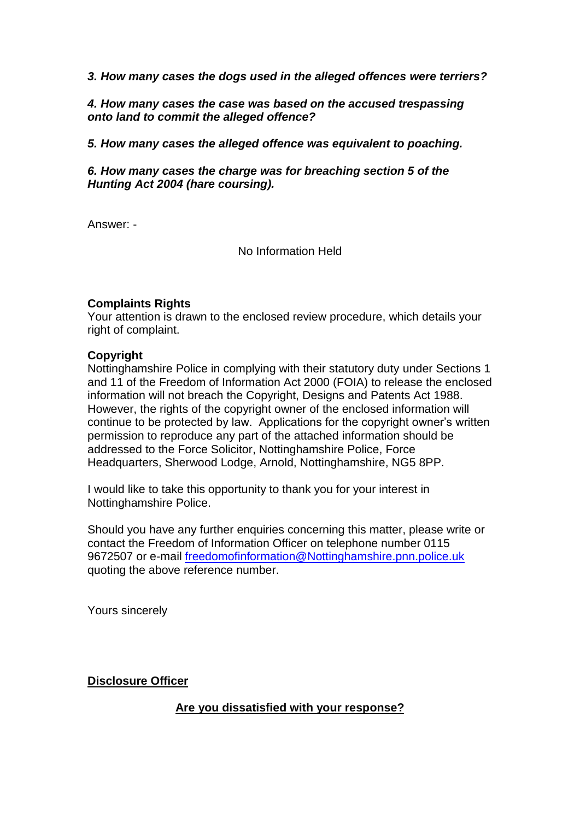*3. How many cases the dogs used in the alleged offences were terriers?*

*4. How many cases the case was based on the accused trespassing onto land to commit the alleged offence?*

*5. How many cases the alleged offence was equivalent to poaching.*

*6. How many cases the charge was for breaching section 5 of the Hunting Act 2004 (hare coursing).*

Answer: -

No Information Held

## **Complaints Rights**

Your attention is drawn to the enclosed review procedure, which details your right of complaint.

### **Copyright**

Nottinghamshire Police in complying with their statutory duty under Sections 1 and 11 of the Freedom of Information Act 2000 (FOIA) to release the enclosed information will not breach the Copyright, Designs and Patents Act 1988. However, the rights of the copyright owner of the enclosed information will continue to be protected by law. Applications for the copyright owner's written permission to reproduce any part of the attached information should be addressed to the Force Solicitor, Nottinghamshire Police, Force Headquarters, Sherwood Lodge, Arnold, Nottinghamshire, NG5 8PP.

I would like to take this opportunity to thank you for your interest in Nottinghamshire Police.

Should you have any further enquiries concerning this matter, please write or contact the Freedom of Information Officer on telephone number 0115 9672507 or e-mail [freedomofinformation@Nottinghamshire.pnn.police.uk](mailto:freedomofinformation@Nottinghamshire.pnn.police.uk) quoting the above reference number.

Yours sincerely

**Disclosure Officer**

**Are you dissatisfied with your response?**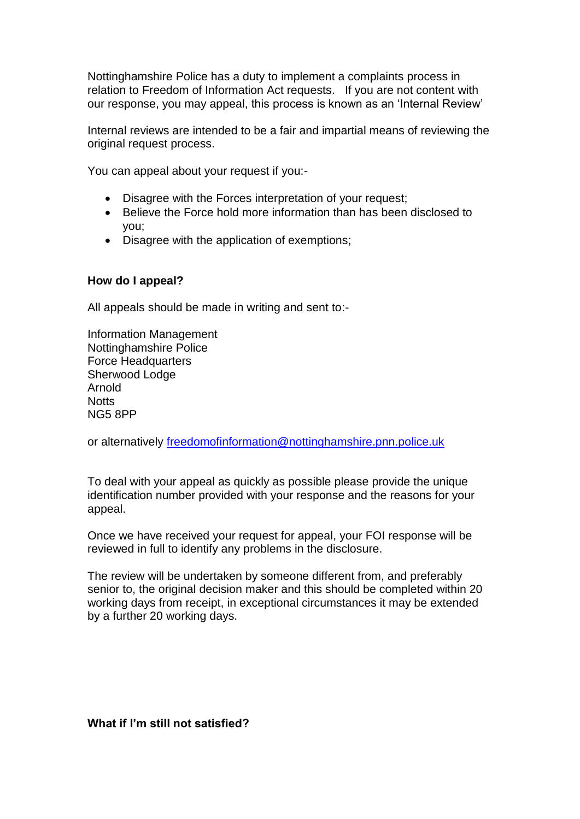Nottinghamshire Police has a duty to implement a complaints process in relation to Freedom of Information Act requests. If you are not content with our response, you may appeal, this process is known as an 'Internal Review'

Internal reviews are intended to be a fair and impartial means of reviewing the original request process.

You can appeal about your request if you:-

- Disagree with the Forces interpretation of your request;
- Believe the Force hold more information than has been disclosed to you;
- Disagree with the application of exemptions;

## **How do I appeal?**

All appeals should be made in writing and sent to:-

Information Management Nottinghamshire Police Force Headquarters Sherwood Lodge Arnold **Notts** NG5 8PP

or alternatively [freedomofinformation@nottinghamshire.pnn.police.uk](mailto:freedomofinformation@nottinghamshire.pnn.police.uk)

To deal with your appeal as quickly as possible please provide the unique identification number provided with your response and the reasons for your appeal.

Once we have received your request for appeal, your FOI response will be reviewed in full to identify any problems in the disclosure.

The review will be undertaken by someone different from, and preferably senior to, the original decision maker and this should be completed within 20 working days from receipt, in exceptional circumstances it may be extended by a further 20 working days.

**What if I'm still not satisfied?**